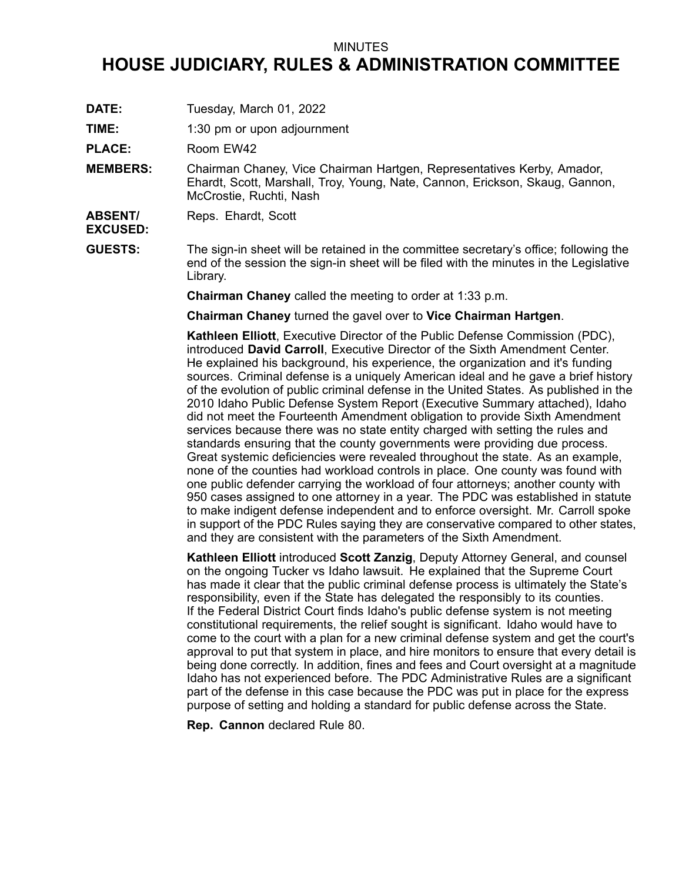#### MINUTES

# **HOUSE JUDICIARY, RULES & ADMINISTRATION COMMITTEE**

- **DATE:** Tuesday, March 01, 2022
- **TIME:** 1:30 pm or upon adjournment

PLACE: Room EW42

- **MEMBERS:** Chairman Chaney, Vice Chairman Hartgen, Representatives Kerby, Amador, Ehardt, Scott, Marshall, Troy, Young, Nate, Cannon, Erickson, Skaug, Gannon, McCrostie, Ruchti, Nash
- **ABSENT/** Reps. Ehardt, Scott

# **EXCUSED:**

**GUESTS:** The sign-in sheet will be retained in the committee secretary's office; following the end of the session the sign-in sheet will be filed with the minutes in the Legislative Library.

**Chairman Chaney** called the meeting to order at 1:33 p.m.

**Chairman Chaney** turned the gavel over to **Vice Chairman Hartgen**.

**Kathleen Elliott**, Executive Director of the Public Defense Commission (PDC), introduced **David Carroll**, Executive Director of the Sixth Amendment Center. He explained his background, his experience, the organization and it's funding sources. Criminal defense is <sup>a</sup> uniquely American ideal and he gave <sup>a</sup> brief history of the evolution of public criminal defense in the United States. As published in the 2010 Idaho Public Defense System Report (Executive Summary attached), Idaho did not meet the Fourteenth Amendment obligation to provide Sixth Amendment services because there was no state entity charged with setting the rules and standards ensuring that the county governments were providing due process. Great systemic deficiencies were revealed throughout the state. As an example, none of the counties had workload controls in place. One county was found with one public defender carrying the workload of four attorneys; another county with 950 cases assigned to one attorney in <sup>a</sup> year. The PDC was established in statute to make indigent defense independent and to enforce oversight. Mr. Carroll spoke in support of the PDC Rules saying they are conservative compared to other states, and they are consistent with the parameters of the Sixth Amendment.

**Kathleen Elliott** introduced **Scott Zanzig**, Deputy Attorney General, and counsel on the ongoing Tucker vs Idaho lawsuit. He explained that the Supreme Court has made it clear that the public criminal defense process is ultimately the State's responsibility, even if the State has delegated the responsibly to its counties. If the Federal District Court finds Idaho's public defense system is not meeting constitutional requirements, the relief sought is significant. Idaho would have to come to the court with <sup>a</sup> plan for <sup>a</sup> new criminal defense system and get the court's approval to put that system in place, and hire monitors to ensure that every detail is being done correctly. In addition, fines and fees and Court oversight at <sup>a</sup> magnitude Idaho has not experienced before. The PDC Administrative Rules are <sup>a</sup> significant part of the defense in this case because the PDC was put in place for the express purpose of setting and holding <sup>a</sup> standard for public defense across the State.

**Rep. Cannon** declared Rule 80.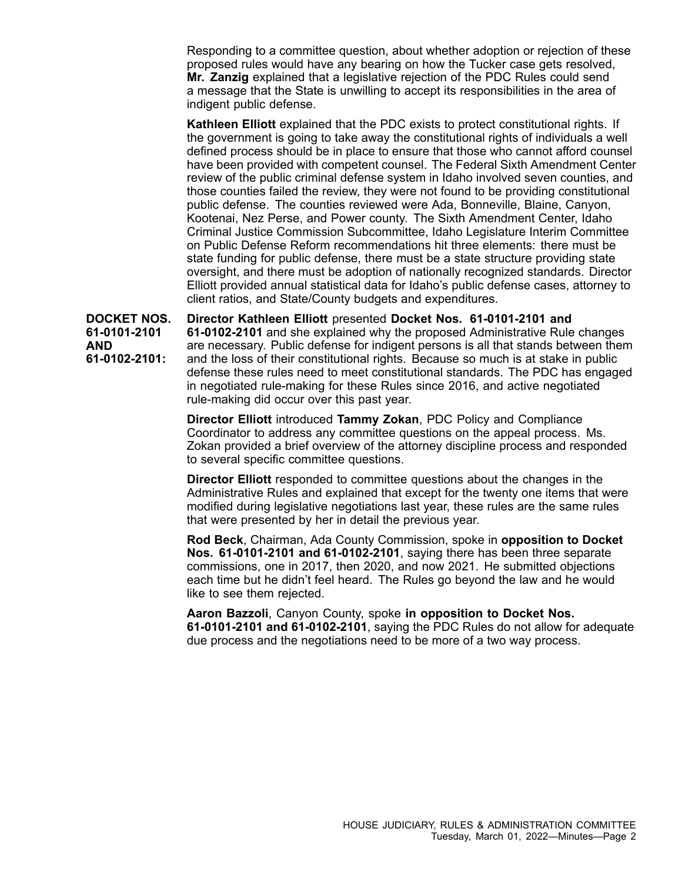Responding to <sup>a</sup> committee question, about whether adoption or rejection of these proposed rules would have any bearing on how the Tucker case gets resolved, **Mr. Zanzig** explained that <sup>a</sup> legislative rejection of the PDC Rules could send <sup>a</sup> message that the State is unwilling to accept its responsibilities in the area of indigent public defense.

**Kathleen Elliott** explained that the PDC exists to protect constitutional rights. If the government is going to take away the constitutional rights of individuals <sup>a</sup> well defined process should be in place to ensure that those who cannot afford counsel have been provided with competent counsel. The Federal Sixth Amendment Center review of the public criminal defense system in Idaho involved seven counties, and those counties failed the review, they were not found to be providing constitutional public defense. The counties reviewed were Ada, Bonneville, Blaine, Canyon, Kootenai, Nez Perse, and Power county. The Sixth Amendment Center, Idaho Criminal Justice Commission Subcommittee, Idaho Legislature Interim Committee on Public Defense Reform recommendations hit three elements: there must be state funding for public defense, there must be <sup>a</sup> state structure providing state oversight, and there must be adoption of nationally recognized standards. Director Elliott provided annual statistical data for Idaho's public defense cases, attorney to client ratios, and State/County budgets and expenditures.

**DOCKET NOS. 61-0101-2101 AND 61-0102-2101: Director Kathleen Elliott** presented **Docket Nos. 61-0101-2101 and 61-0102-2101** and she explained why the proposed Administrative Rule changes are necessary. Public defense for indigent persons is all that stands between them and the loss of their constitutional rights. Because so much is at stake in public defense these rules need to meet constitutional standards. The PDC has engaged in negotiated rule-making for these Rules since 2016, and active negotiated rule-making did occur over this past year.

> **Director Elliott** introduced **Tammy Zokan**, PDC Policy and Compliance Coordinator to address any committee questions on the appeal process. Ms. Zokan provided <sup>a</sup> brief overview of the attorney discipline process and responded to several specific committee questions.

> **Director Elliott** responded to committee questions about the changes in the Administrative Rules and explained that except for the twenty one items that were modified during legislative negotiations last year, these rules are the same rules that were presented by her in detail the previous year.

**Rod Beck**, Chairman, Ada County Commission, spoke in **opposition to Docket Nos. 61-0101-2101 and 61-0102-2101**, saying there has been three separate commissions, one in 2017, then 2020, and now 2021. He submitted objections each time but he didn't feel heard. The Rules go beyond the law and he would like to see them rejected.

**Aaron Bazzoli**, Canyon County, spoke **in opposition to Docket Nos. 61-0101-2101 and 61-0102-2101**, saying the PDC Rules do not allow for adequate due process and the negotiations need to be more of <sup>a</sup> two way process.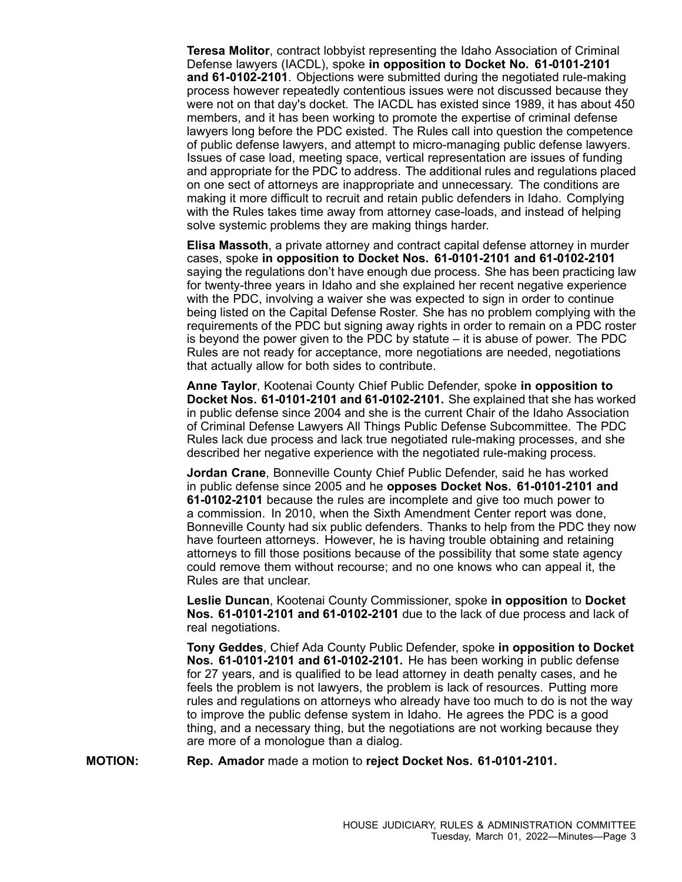**Teresa Molitor**, contract lobbyist representing the Idaho Association of Criminal Defense lawyers (IACDL), spoke **in opposition to Docket No. 61-0101-2101 and 61-0102-2101**. Objections were submitted during the negotiated rule-making process however repeatedly contentious issues were not discussed because they were not on that day's docket. The IACDL has existed since 1989, it has about 450 members, and it has been working to promote the expertise of criminal defense lawyers long before the PDC existed. The Rules call into question the competence of public defense lawyers, and attempt to micro-managing public defense lawyers. Issues of case load, meeting space, vertical representation are issues of funding and appropriate for the PDC to address. The additional rules and regulations placed on one sect of attorneys are inappropriate and unnecessary. The conditions are making it more difficult to recruit and retain public defenders in Idaho. Complying with the Rules takes time away from attorney case-loads, and instead of helping solve systemic problems they are making things harder.

**Elisa Massoth**, <sup>a</sup> private attorney and contract capital defense attorney in murder cases, spoke **in opposition to Docket Nos. 61-0101-2101 and 61-0102-2101** saying the regulations don't have enough due process. She has been practicing law for twenty-three years in Idaho and she explained her recent negative experience with the PDC, involving <sup>a</sup> waiver she was expected to sign in order to continue being listed on the Capital Defense Roster. She has no problem complying with the requirements of the PDC but signing away rights in order to remain on <sup>a</sup> PDC roster is beyond the power given to the PDC by statute – it is abuse of power. The PDC Rules are not ready for acceptance, more negotiations are needed, negotiations that actually allow for both sides to contribute.

**Anne Taylor**, Kootenai County Chief Public Defender, spoke **in opposition to Docket Nos. 61-0101-2101 and 61-0102-2101.** She explained that she has worked in public defense since 2004 and she is the current Chair of the Idaho Association of Criminal Defense Lawyers All Things Public Defense Subcommittee. The PDC Rules lack due process and lack true negotiated rule-making processes, and she described her negative experience with the negotiated rule-making process.

**Jordan Crane**, Bonneville County Chief Public Defender, said he has worked in public defense since 2005 and he **opposes Docket Nos. 61-0101-2101 and 61-0102-2101** because the rules are incomplete and give too much power to <sup>a</sup> commission. In 2010, when the Sixth Amendment Center report was done, Bonneville County had six public defenders. Thanks to help from the PDC they now have fourteen attorneys. However, he is having trouble obtaining and retaining attorneys to fill those positions because of the possibility that some state agency could remove them without recourse; and no one knows who can appeal it, the Rules are that unclear.

**Leslie Duncan**, Kootenai County Commissioner, spoke **in opposition** to **Docket Nos. 61-0101-2101 and 61-0102-2101** due to the lack of due process and lack of real negotiations.

**Tony Geddes**, Chief Ada County Public Defender, spoke **in opposition to Docket Nos. 61-0101-2101 and 61-0102-2101.** He has been working in public defense for 27 years, and is qualified to be lead attorney in death penalty cases, and he feels the problem is not lawyers, the problem is lack of resources. Putting more rules and regulations on attorneys who already have too much to do is not the way to improve the public defense system in Idaho. He agrees the PDC is <sup>a</sup> good thing, and <sup>a</sup> necessary thing, but the negotiations are not working because they are more of <sup>a</sup> monologue than <sup>a</sup> dialog.

**MOTION: Rep. Amador** made <sup>a</sup> motion to **reject Docket Nos. 61-0101-2101.**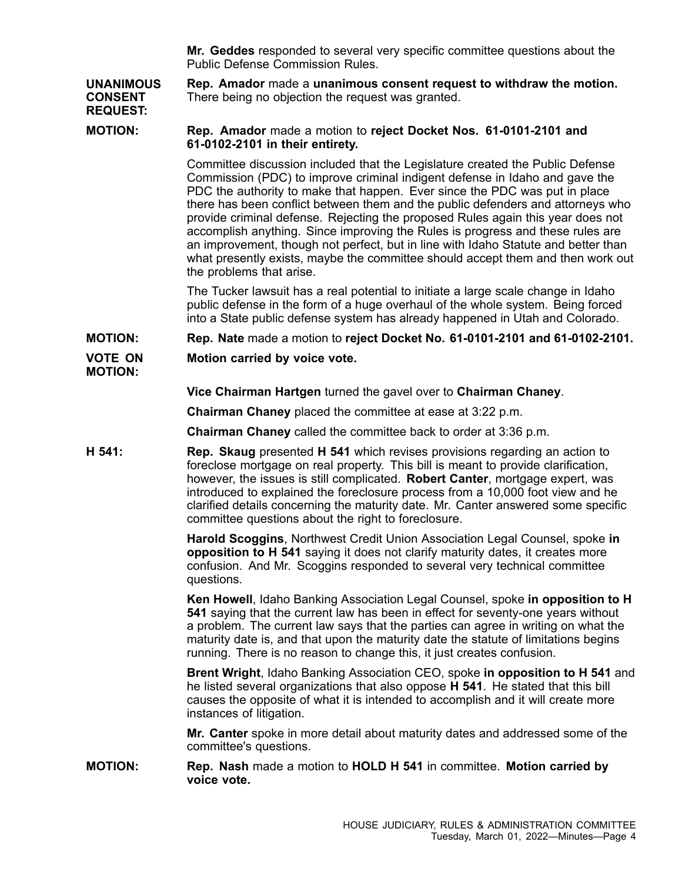**Mr. Geddes** responded to several very specific committee questions about the Public Defense Commission Rules.

**UNANIMOUS CONSENT REQUEST: Rep. Amador** made <sup>a</sup> **unanimous consent request to withdraw the motion.** There being no objection the request was granted.

## **MOTION: Rep. Amador** made <sup>a</sup> motion to **reject Docket Nos. 61-0101-2101 and 61-0102-2101 in their entirety.**

Committee discussion included that the Legislature created the Public Defense Commission (PDC) to improve criminal indigent defense in Idaho and gave the PDC the authority to make that happen. Ever since the PDC was put in place there has been conflict between them and the public defenders and attorneys who provide criminal defense. Rejecting the proposed Rules again this year does not accomplish anything. Since improving the Rules is progress and these rules are an improvement, though not perfect, but in line with Idaho Statute and better than what presently exists, maybe the committee should accept them and then work out the problems that arise.

The Tucker lawsuit has <sup>a</sup> real potential to initiate <sup>a</sup> large scale change in Idaho public defense in the form of <sup>a</sup> huge overhaul of the whole system. Being forced into <sup>a</sup> State public defense system has already happened in Utah and Colorado.

## **MOTION: Rep. Nate** made <sup>a</sup> motion to **reject Docket No. 61-0101-2101 and 61-0102-2101.**

#### **VOTE ON MOTION: Motion carried by voice vote.**

**Vice Chairman Hartgen** turned the gavel over to **Chairman Chaney**.

**Chairman Chaney** placed the committee at ease at 3:22 p.m.

**Chairman Chaney** called the committee back to order at 3:36 p.m.

**H 541: Rep. Skaug** presented **H 541** which revises provisions regarding an action to foreclose mortgage on real property. This bill is meant to provide clarification, however, the issues is still complicated. **Robert Canter**, mortgage expert, was introduced to explained the foreclosure process from <sup>a</sup> 10,000 foot view and he clarified details concerning the maturity date. Mr. Canter answered some specific committee questions about the right to foreclosure.

> **Harold Scoggins**, Northwest Credit Union Association Legal Counsel, spoke **in opposition to H 541** saying it does not clarify maturity dates, it creates more confusion. And Mr. Scoggins responded to several very technical committee questions.

**Ken Howell**, Idaho Banking Association Legal Counsel, spoke **in opposition to H 541** saying that the current law has been in effect for seventy-one years without <sup>a</sup> problem. The current law says that the parties can agree in writing on what the maturity date is, and that upon the maturity date the statute of limitations begins running. There is no reason to change this, it just creates confusion.

**Brent Wright**, Idaho Banking Association CEO, spoke **in opposition to H 541** and he listed several organizations that also oppose **H 541**. He stated that this bill causes the opposite of what it is intended to accomplish and it will create more instances of litigation.

**Mr. Canter** spoke in more detail about maturity dates and addressed some of the committee's questions.

**MOTION: Rep. Nash** made <sup>a</sup> motion to **HOLD H 541** in committee. **Motion carried by voice vote.**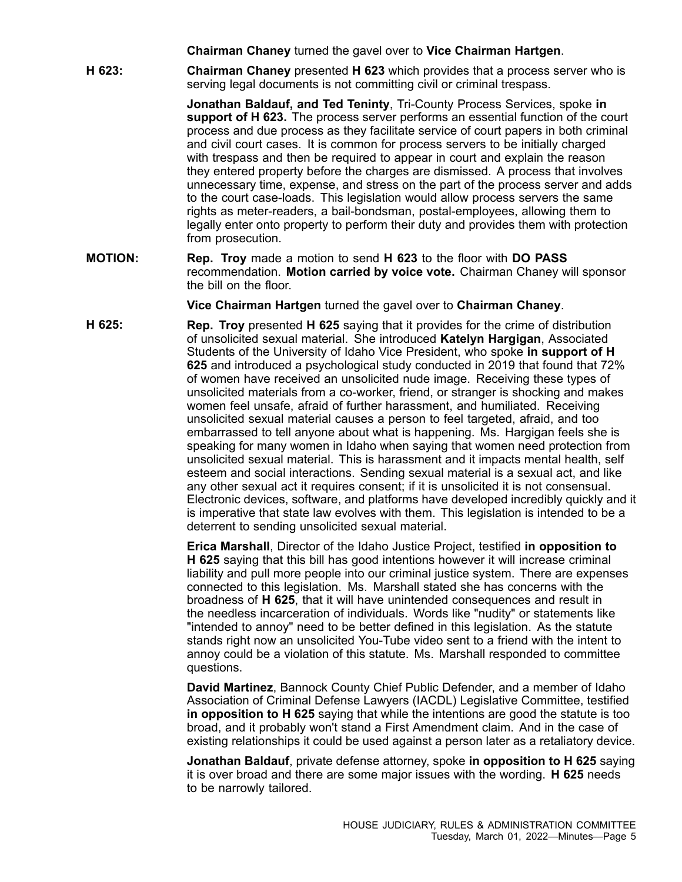**Chairman Chaney** turned the gavel over to **Vice Chairman Hartgen**.

**H 623: Chairman Chaney** presented **H 623** which provides that <sup>a</sup> process server who is serving legal documents is not committing civil or criminal trespass.

> **Jonathan Baldauf, and Ted Teninty**, Tri-County Process Services, spoke **in support of H 623.** The process server performs an essential function of the court process and due process as they facilitate service of court papers in both criminal and civil court cases. It is common for process servers to be initially charged with trespass and then be required to appear in court and explain the reason they entered property before the charges are dismissed. A process that involves unnecessary time, expense, and stress on the part of the process server and adds to the court case-loads. This legislation would allow process servers the same rights as meter-readers, <sup>a</sup> bail-bondsman, postal-employees, allowing them to legally enter onto property to perform their duty and provides them with protection from prosecution.

**MOTION: Rep. Troy** made <sup>a</sup> motion to send **H 623** to the floor with **DO PASS** recommendation. **Motion carried by voice vote.** Chairman Chaney will sponsor the bill on the floor.

**Vice Chairman Hartgen** turned the gavel over to **Chairman Chaney**.

**H 625: Rep. Troy** presented **H 625** saying that it provides for the crime of distribution of unsolicited sexual material. She introduced **Katelyn Hargigan**, Associated Students of the University of Idaho Vice President, who spoke **in support of H 625** and introduced <sup>a</sup> psychological study conducted in 2019 that found that 72% of women have received an unsolicited nude image. Receiving these types of unsolicited materials from <sup>a</sup> co-worker, friend, or stranger is shocking and makes women feel unsafe, afraid of further harassment, and humiliated. Receiving unsolicited sexual material causes <sup>a</sup> person to feel targeted, afraid, and too embarrassed to tell anyone about what is happening. Ms. Hargigan feels she is speaking for many women in Idaho when saying that women need protection from unsolicited sexual material. This is harassment and it impacts mental health, self esteem and social interactions. Sending sexual material is <sup>a</sup> sexual act, and like any other sexual act it requires consent; if it is unsolicited it is not consensual. Electronic devices, software, and platforms have developed incredibly quickly and it is imperative that state law evolves with them. This legislation is intended to be <sup>a</sup> deterrent to sending unsolicited sexual material.

> **Erica Marshall**, Director of the Idaho Justice Project, testified **in opposition to H 625** saying that this bill has good intentions however it will increase criminal liability and pull more people into our criminal justice system. There are expenses connected to this legislation. Ms. Marshall stated she has concerns with the broadness of **H 625**, that it will have unintended consequences and result in the needless incarceration of individuals. Words like "nudity" or statements like "intended to annoy" need to be better defined in this legislation. As the statute stands right now an unsolicited You-Tube video sent to <sup>a</sup> friend with the intent to annoy could be <sup>a</sup> violation of this statute. Ms. Marshall responded to committee questions.

> **David Martinez**, Bannock County Chief Public Defender, and <sup>a</sup> member of Idaho Association of Criminal Defense Lawyers (IACDL) Legislative Committee, testified **in opposition to H 625** saying that while the intentions are good the statute is too broad, and it probably won't stand <sup>a</sup> First Amendment claim. And in the case of existing relationships it could be used against <sup>a</sup> person later as <sup>a</sup> retaliatory device.

> **Jonathan Baldauf**, private defense attorney, spoke **in opposition to H 625** saying it is over broad and there are some major issues with the wording. **H 625** needs to be narrowly tailored.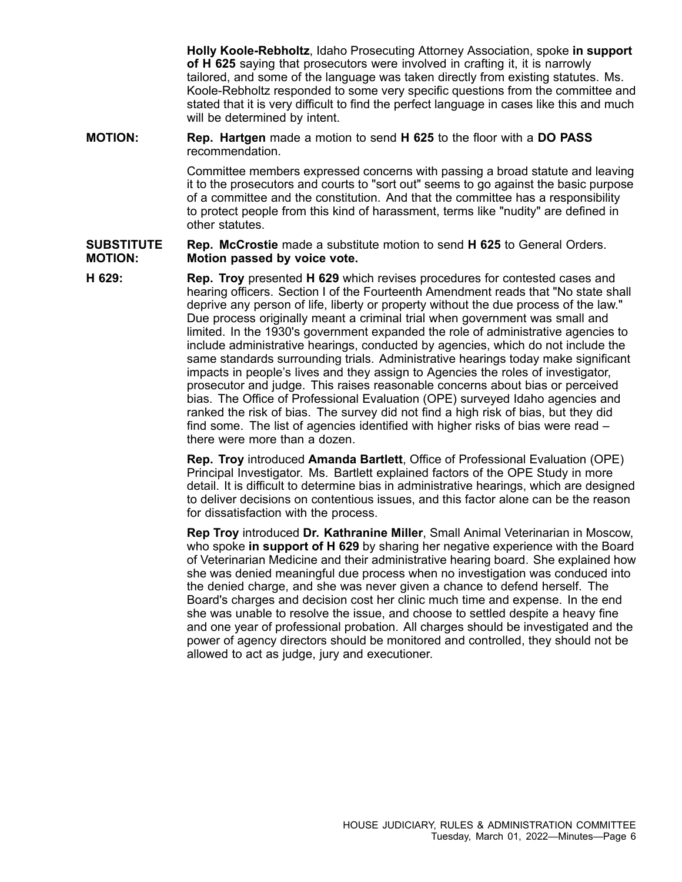**Holly Koole-Rebholtz**, Idaho Prosecuting Attorney Association, spoke **in support of H 625** saying that prosecutors were involved in crafting it, it is narrowly tailored, and some of the language was taken directly from existing statutes. Ms. Koole-Rebholtz responded to some very specific questions from the committee and stated that it is very difficult to find the perfect language in cases like this and much will be determined by intent.

**MOTION: Rep. Hartgen** made <sup>a</sup> motion to send **H 625** to the floor with <sup>a</sup> **DO PASS** recommendation.

> Committee members expressed concerns with passing <sup>a</sup> broad statute and leaving it to the prosecutors and courts to "sort out" seems to go against the basic purpose of <sup>a</sup> committee and the constitution. And that the committee has <sup>a</sup> responsibility to protect people from this kind of harassment, terms like "nudity" are defined in other statutes.

#### **SUBSTITUTE MOTION: Rep. McCrostie** made <sup>a</sup> substitute motion to send **H 625** to General Orders. **Motion passed by voice vote.**

**H 629: Rep. Troy** presented **H 629** which revises procedures for contested cases and hearing officers. Section I of the Fourteenth Amendment reads that "No state shall deprive any person of life, liberty or property without the due process of the law." Due process originally meant <sup>a</sup> criminal trial when government was small and limited. In the 1930's government expanded the role of administrative agencies to include administrative hearings, conducted by agencies, which do not include the same standards surrounding trials. Administrative hearings today make significant impacts in people's lives and they assign to Agencies the roles of investigator, prosecutor and judge. This raises reasonable concerns about bias or perceived bias. The Office of Professional Evaluation (OPE) surveyed Idaho agencies and ranked the risk of bias. The survey did not find <sup>a</sup> high risk of bias, but they did find some. The list of agencies identified with higher risks of bias were read – there were more than a dozen.

> **Rep. Troy** introduced **Amanda Bartlett**, Office of Professional Evaluation (OPE) Principal Investigator. Ms. Bartlett explained factors of the OPE Study in more detail. It is difficult to determine bias in administrative hearings, which are designed to deliver decisions on contentious issues, and this factor alone can be the reason for dissatisfaction with the process.

> **Rep Troy** introduced **Dr. Kathranine Miller**, Small Animal Veterinarian in Moscow, who spoke **in support of H 629** by sharing her negative experience with the Board of Veterinarian Medicine and their administrative hearing board. She explained how she was denied meaningful due process when no investigation was conduced into the denied charge, and she was never given <sup>a</sup> chance to defend herself. The Board's charges and decision cost her clinic much time and expense. In the end she was unable to resolve the issue, and choose to settled despite <sup>a</sup> heavy fine and one year of professional probation. All charges should be investigated and the power of agency directors should be monitored and controlled, they should not be allowed to act as judge, jury and executioner.